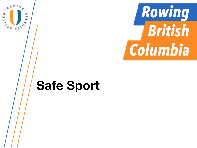

 $\overline{a}$ 

÷,

**PARTIES**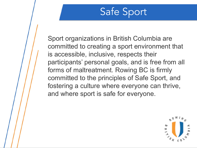Sport organizations in British Columbia are committed to creating a sport environment that is accessible, inclusive, respects their participants' personal goals, and is free from all forms of maltreatment. Rowing BC is firmly committed to the principles of Safe Sport, and fostering a culture where everyone can thrive, and where sport is safe for everyone.

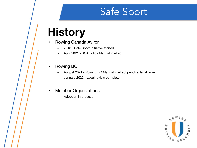#### **History**

- Rowing Canada Aviron
	- 2018 Safe Sport Initiative started
	- April 2021 RCA Policy Manual in effect
- Rowing BC
	- August 2021 Rowing BC Manual in effect pending legal review
	- January 2022 Legal review complete
- Member Organizations
	- Adoption in process

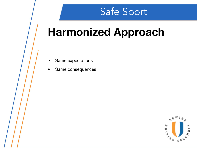## **Harmonized Approach**

- Same expectations
- Same consequences

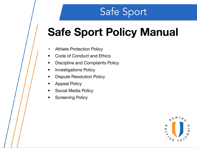## **Safe Sport Policy Manual**

- Athlete Protection Policy
- Code of Conduct and Ethics
- Discipline and Complaints Policy
- Investigations Policy
- Dispute Resolution Policy
- Appeal Policy
- Social Media Policy
- **Screening Policy**

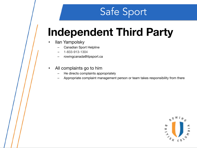## **Independent Third Party**

- Ilan Yampolsky
	- Canadian Sport Helpline
	- 1-833-913-1304
	- rowingcanada@itpsport.ca
- All complaints go to him
	- He directs complaints appropriately
	- Appropriate complaint management person or team takes responsibility from there